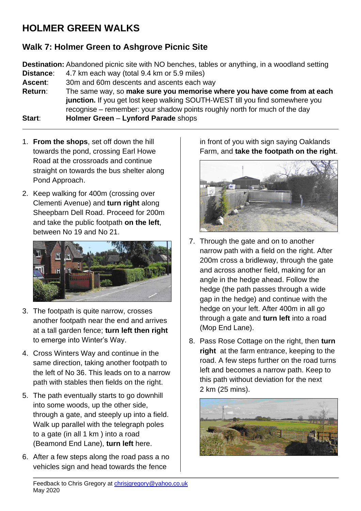## **HOLMER GREEN WALKS**

## **Walk 7: Holmer Green to Ashgrove Picnic Site**

**Destination:** Abandoned picnic site with NO benches, tables or anything, in a woodland setting **Distance**: 4.7 km each way (total 9.4 km or 5.9 miles)

**Ascent:** 30m and 60m descents and ascents each way

**Return**: The same way, so **make sure you memorise where you have come from at each junction.** If you get lost keep walking SOUTH-WEST till you find somewhere you recognise – remember: your shadow points roughly north for much of the day **Start**: **Holmer Green** – **Lynford Parade** shops

1. **From the shops**, set off down the hill towards the pond, crossing Earl Howe Road at the crossroads and continue straight on towards the bus shelter along Pond Approach.

2. Keep walking for 400m (crossing over Clementi Avenue) and **turn right** along Sheepbarn Dell Road. Proceed for 200m and take the public footpath **on the left**, between No 19 and No 21.



- 3. The footpath is quite narrow, crosses another footpath near the end and arrives at a tall garden fence; **turn left then right** to emerge into Winter's Way.
- 4. Cross Winters Way and continue in the same direction, taking another footpath to the left of No 36. This leads on to a narrow path with stables then fields on the right.
- 5. The path eventually starts to go downhill into some woods, up the other side, through a gate, and steeply up into a field. Walk up parallel with the telegraph poles to a gate (in all 1 km ) into a road (Beamond End Lane), **turn left** here.
- 6. After a few steps along the road pass a no vehicles sign and head towards the fence

in front of you with sign saying Oaklands Farm, and **take the footpath on the right**.



- 7. Through the gate and on to another narrow path with a field on the right. After 200m cross a bridleway, through the gate and across another field, making for an angle in the hedge ahead. Follow the hedge (the path passes through a wide gap in the hedge) and continue with the hedge on your left. After 400m in all go through a gate and **turn left** into a road (Mop End Lane).
- 8. Pass Rose Cottage on the right, then **turn right** at the farm entrance, keeping to the road. A few steps further on the road turns left and becomes a narrow path. Keep to this path without deviation for the next 2 km (25 mins).